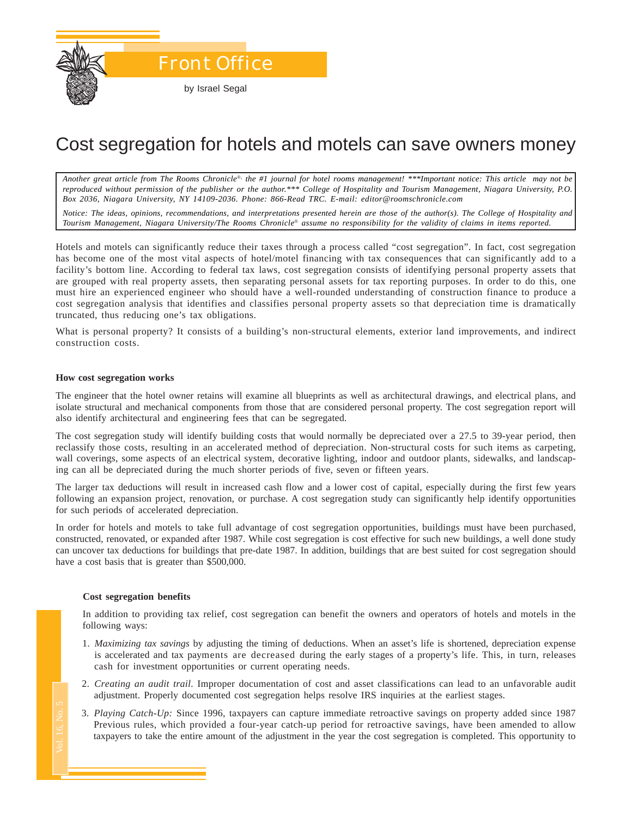

# Cost segregation for hotels and motels can save owners money

*Another great article from The Rooms Chronicle*®*, the #1 journal for hotel rooms management! \*\*\*Important notice: This article may not be reproduced without permission of the publisher or the author.\*\*\* College of Hospitality and Tourism Management, Niagara University, P.O. Box 2036, Niagara University, NY 14109-2036. Phone: 866-Read TRC. E-mail: editor@roomschronicle.com*

*Notice: The ideas, opinions, recommendations, and interpretations presented herein are those of the author(s). The College of Hospitality and Tourism Management, Niagara University/The Rooms Chronicle*® *assume no responsibility for the validity of claims in items reported.*

Hotels and motels can significantly reduce their taxes through a process called "cost segregation". In fact, cost segregation has become one of the most vital aspects of hotel/motel financing with tax consequences that can significantly add to a facility's bottom line. According to federal tax laws, cost segregation consists of identifying personal property assets that are grouped with real property assets, then separating personal assets for tax reporting purposes. In order to do this, one must hire an experienced engineer who should have a well-rounded understanding of construction finance to produce a cost segregation analysis that identifies and classifies personal property assets so that depreciation time is dramatically truncated, thus reducing one's tax obligations.

What is personal property? It consists of a building's non-structural elements, exterior land improvements, and indirect construction costs.

#### **How cost segregation works**

The engineer that the hotel owner retains will examine all blueprints as well as architectural drawings, and electrical plans, and isolate structural and mechanical components from those that are considered personal property. The cost segregation report will also identify architectural and engineering fees that can be segregated.

The cost segregation study will identify building costs that would normally be depreciated over a 27.5 to 39-year period, then reclassify those costs, resulting in an accelerated method of depreciation. Non-structural costs for such items as carpeting, wall coverings, some aspects of an electrical system, decorative lighting, indoor and outdoor plants, sidewalks, and landscaping can all be depreciated during the much shorter periods of five, seven or fifteen years.

The larger tax deductions will result in increased cash flow and a lower cost of capital, especially during the first few years following an expansion project, renovation, or purchase. A cost segregation study can significantly help identify opportunities for such periods of accelerated depreciation.

In order for hotels and motels to take full advantage of cost segregation opportunities, buildings must have been purchased, constructed, renovated, or expanded after 1987. While cost segregation is cost effective for such new buildings, a well done study can uncover tax deductions for buildings that pre-date 1987. In addition, buildings that are best suited for cost segregation should have a cost basis that is greater than \$500,000.

#### **Cost segregation benefits**

In addition to providing tax relief, cost segregation can benefit the owners and operators of hotels and motels in the following ways:

- 1. *Maximizing tax savings* by adjusting the timing of deductions. When an asset's life is shortened, depreciation expense is accelerated and tax payments are decreased during the early stages of a property's life. This, in turn, releases cash for investment opportunities or current operating needs.
- 2. *Creating an audit trail.* Improper documentation of cost and asset classifications can lead to an unfavorable audit adjustment. Properly documented cost segregation helps resolve IRS inquiries at the earliest stages.
- Mis<br>is ca<br>*Ch*<br>ad<br>*Pl*<br>pr<br>ta> 3. *Playing Catch-Up:* Since 1996, taxpayers can capture immediate retroactive savings on property added since 1987 Previous rules, which provided a four-year catch-up period for retroactive savings, have been amended to allow taxpayers to take the entire amount of the adjustment in the year the cost segregation is completed. This opportunity to